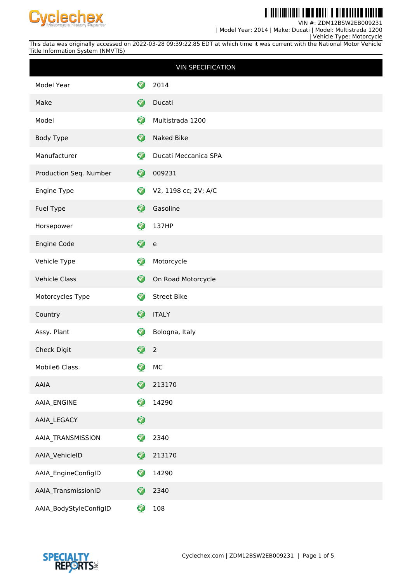

<u>Til de in 11de id de bi it del bi de bi de i i i i i de bi de i de bi </u> Ш

VIN #: ZDM12BSW2EB009231

| Model Year: 2014 | Make: Ducati | Model: Multistrada 1200

 | Vehicle Type: Motorcycle This data was originally accessed on 2022-03-28 09:39:22.85 EDT at which time it was current with the National Motor Vehicle Title Information System (NMVTIS)

|                        |                  | <b>VIN SPECIFICATION</b>                   |
|------------------------|------------------|--------------------------------------------|
| Model Year             | 7                | 2014                                       |
| Make                   | Ø                | Ducati                                     |
| Model                  | €                | Multistrada 1200                           |
| <b>Body Type</b>       | $\bullet$        | Naked Bike                                 |
| Manufacturer           | $\bullet$        | Ducati Meccanica SPA                       |
| Production Seq. Number | Ø                | 009231                                     |
| Engine Type            | ❤                | V2, 1198 cc; 2V; A/C                       |
| Fuel Type              | Ø                | Gasoline                                   |
| Horsepower             | Ø                | 137HP                                      |
| Engine Code            | ❤                | $\mathsf{e}% _{0}\left( \mathsf{e}\right)$ |
| Vehicle Type           | 0                | Motorcycle                                 |
| <b>Vehicle Class</b>   | $\bullet$        | On Road Motorcycle                         |
| Motorcycles Type       | Ø                | <b>Street Bike</b>                         |
| Country                | Ø                | <b>ITALY</b>                               |
| Assy. Plant            | Ø                | Bologna, Italy                             |
| Check Digit            | $\bullet$        | $\overline{2}$                             |
| Mobile6 Class.         | 0<br>ж           | MC                                         |
| AAIA                   | $\mathbf \Theta$ | 213170                                     |
| AAIA_ENGINE            | Ø                | 14290                                      |
| AAIA_LEGACY            | $\mathbf Q$      |                                            |
| AAIA_TRANSMISSION      | 0                | 2340                                       |
| AAIA_VehicleID         | Ø                | 213170                                     |
| AAIA_EngineConfigID    | ✓                | 14290                                      |
| AAIA_TransmissionID    | Ø                | 2340                                       |
| AAIA_BodyStyleConfigID | ❤                | 108                                        |

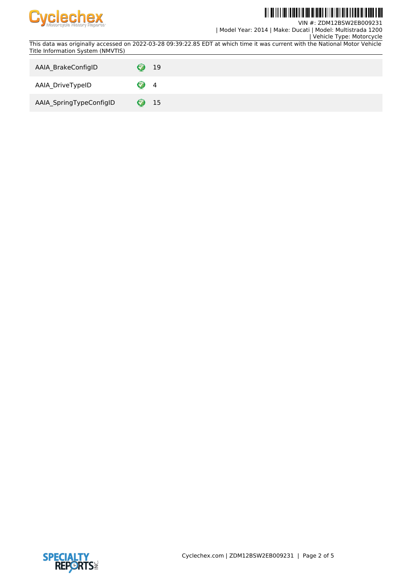

**TI ALITAN ALIT** III IIII IIII

VIN #: ZDM12BSW2EB009231 | Model Year: 2014 | Make: Ducati | Model: Multistrada 1200

 | Vehicle Type: Motorcycle This data was originally accessed on 2022-03-28 09:39:22.85 EDT at which time it was current with the National Motor Vehicle Title Information System (NMVTIS)

| AAIA BrakeConfigID      |   | 19 |
|-------------------------|---|----|
| AAIA_DriveTypeID        |   | 4  |
| AAIA_SpringTypeConfigID | Ø | 15 |

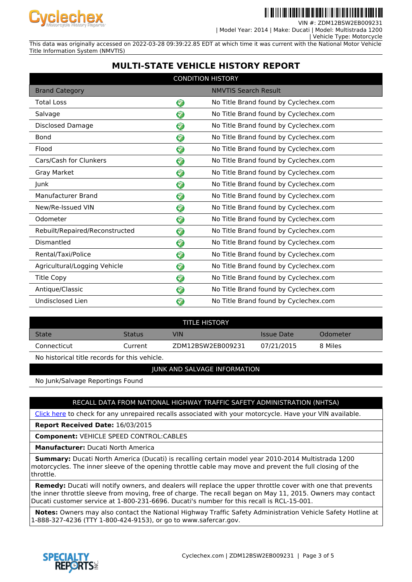

VIN #: ZDM12BSW2EB009231

 | Model Year: 2014 | Make: Ducati | Model: Multistrada 1200 | Vehicle Type: Motorcycle

This data was originally accessed on 2022-03-28 09:39:22.85 EDT at which time it was current with the National Motor Vehicle Title Information System (NMVTIS)

# **MULTI-STATE VEHICLE HISTORY REPORT**

| <b>CONDITION HISTORY</b>       |           |                                       |  |
|--------------------------------|-----------|---------------------------------------|--|
| <b>Brand Category</b>          |           | <b>NMVTIS Search Result</b>           |  |
| <b>Total Loss</b>              | 3         | No Title Brand found by Cyclechex.com |  |
| Salvage                        | 7         | No Title Brand found by Cyclechex.com |  |
| <b>Disclosed Damage</b>        | 7         | No Title Brand found by Cyclechex.com |  |
| <b>Bond</b>                    | 0         | No Title Brand found by Cyclechex.com |  |
| Flood                          | ❤         | No Title Brand found by Cyclechex.com |  |
| Cars/Cash for Clunkers         | ❤         | No Title Brand found by Cyclechex.com |  |
| Gray Market                    | $\bf Q$   | No Title Brand found by Cyclechex.com |  |
| Junk                           | ♡         | No Title Brand found by Cyclechex.com |  |
| Manufacturer Brand             | 3         | No Title Brand found by Cyclechex.com |  |
| New/Re-Issued VIN              | 3         | No Title Brand found by Cyclechex.com |  |
| Odometer                       | 3         | No Title Brand found by Cyclechex.com |  |
| Rebuilt/Repaired/Reconstructed | ❤         | No Title Brand found by Cyclechex.com |  |
| Dismantled                     | ଚ         | No Title Brand found by Cyclechex.com |  |
| Rental/Taxi/Police             | $\bullet$ | No Title Brand found by Cyclechex.com |  |
| Agricultural/Logging Vehicle   | ❤         | No Title Brand found by Cyclechex.com |  |
| <b>Title Copy</b>              | ❤         | No Title Brand found by Cyclechex.com |  |
| Antique/Classic                | 3         | No Title Brand found by Cyclechex.com |  |
| Undisclosed Lien               | 3         | No Title Brand found by Cyclechex.com |  |

| <b>TITLE HISTORY</b> |               |                   |            |          |  |
|----------------------|---------------|-------------------|------------|----------|--|
| <b>State</b>         | <b>Status</b> | VIN               | Issue Date | Odometer |  |
| Connecticut          | Current       | ZDM12BSW2EB009231 | 07/21/2015 | 8 Miles  |  |

No historical title records for this vehicle.

### JUNK AND SALVAGE INFORMATION

No Junk/Salvage Reportings Found

### RECALL DATA FROM NATIONAL HIGHWAY TRAFFIC SAFETY ADMINISTRATION (NHTSA)

[Click here](https://www-odi.nhtsa.dot.gov/owners/SearchSafetyIssues) to check for any unrepaired recalls associated with your motorcycle. Have your VIN available.

**Report Received Date:** 16/03/2015

**Component:** VEHICLE SPEED CONTROL:CABLES

**Manufacturer:** Ducati North America

 **Summary:** Ducati North America (Ducati) is recalling certain model year 2010-2014 Multistrada 1200 motorcycles. The inner sleeve of the opening throttle cable may move and prevent the full closing of the throttle.

 **Remedy:** Ducati will notify owners, and dealers will replace the upper throttle cover with one that prevents the inner throttle sleeve from moving, free of charge. The recall began on May 11, 2015. Owners may contact Ducati customer service at 1-800-231-6696. Ducati's number for this recall is RCL-15-001.

 **Notes:** Owners may also contact the National Highway Traffic Safety Administration Vehicle Safety Hotline at 1-888-327-4236 (TTY 1-800-424-9153), or go to www.safercar.gov.

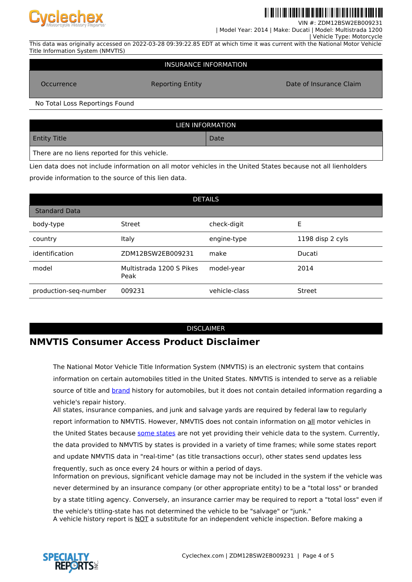

VIN #: ZDM12BSW2EB009231

 | Model Year: 2014 | Make: Ducati | Model: Multistrada 1200 | Vehicle Type: Motorcycle

This data was originally accessed on 2022-03-28 09:39:22.85 EDT at which time it was current with the National Motor Vehicle Title Information System (NMVTIS)

#### INSURANCE INFORMATION

Occurrence **Reporting Entity Consumer Claim** Date of Insurance Claim

No Total Loss Reportings Found

| LIEN INFORMATION                              |      |  |  |  |
|-----------------------------------------------|------|--|--|--|
| <b>Entity Title</b>                           | Date |  |  |  |
| There are no liens reported for this vehicle. |      |  |  |  |

Lien data does not include information on all motor vehicles in the United States because not all lienholders provide information to the source of this lien data.

| <b>DETAILS</b>        |                                  |               |                  |  |  |
|-----------------------|----------------------------------|---------------|------------------|--|--|
| <b>Standard Data</b>  |                                  |               |                  |  |  |
| body-type             | Street                           | check-digit   | E                |  |  |
| country               | Italy                            | engine-type   | 1198 disp 2 cyls |  |  |
| identification        | ZDM12BSW2EB009231                | make          | Ducati           |  |  |
| model                 | Multistrada 1200 S Pikes<br>Peak | model-year    | 2014             |  |  |
| production-seq-number | 009231                           | vehicle-class | Street           |  |  |

#### DISCLAIMER

## **NMVTIS Consumer Access Product Disclaimer**

The National Motor Vehicle Title Information System (NMVTIS) is an electronic system that contains information on certain automobiles titled in the United States. NMVTIS is intended to serve as a reliable source of title and **brand** history for automobiles, but it does not contain detailed information regarding a vehicle's repair history.

All states, insurance companies, and junk and salvage yards are required by federal law to regularly report information to NMVTIS. However, NMVTIS does not contain information on all motor vehicles in the United States because [some states](https://vehiclehistory.bja.ojp.gov/nmvtis_states) are not yet providing their vehicle data to the system. Currently, the data provided to NMVTIS by states is provided in a variety of time frames; while some states report and update NMVTIS data in "real-time" (as title transactions occur), other states send updates less frequently, such as once every 24 hours or within a period of days. Information on previous, significant vehicle damage may not be included in the system if the vehicle was never determined by an insurance company (or other appropriate entity) to be a "total loss" or branded by a state titling agency. Conversely, an insurance carrier may be required to report a "total loss" even if the vehicle's titling-state has not determined the vehicle to be "salvage" or "junk." A vehicle history report is NOT a substitute for an independent vehicle inspection. Before making a